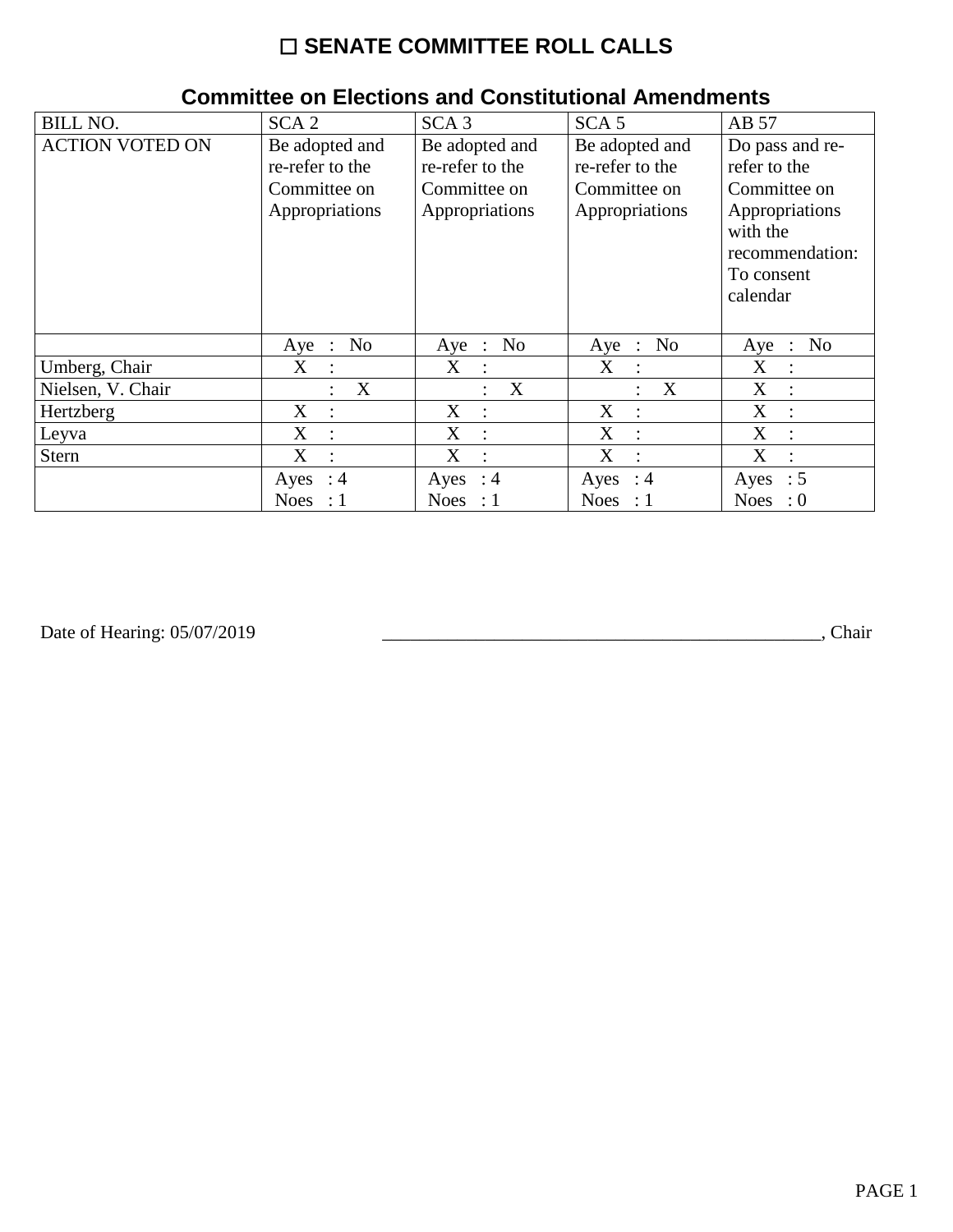## ☐ **SENATE COMMITTEE ROLL CALLS**

| <b>BILL NO.</b>        | SCA <sub>2</sub>          | SCA <sub>3</sub>        | SCA <sub>5</sub>                                | AB 57                                         |
|------------------------|---------------------------|-------------------------|-------------------------------------------------|-----------------------------------------------|
| <b>ACTION VOTED ON</b> | Be adopted and            | Be adopted and          | Be adopted and                                  | Do pass and re-                               |
|                        | re-refer to the           | re-refer to the         | re-refer to the                                 | refer to the                                  |
|                        | Committee on              | Committee on            | Committee on                                    | Committee on                                  |
|                        | Appropriations            | Appropriations          | Appropriations                                  | Appropriations                                |
|                        |                           |                         |                                                 | with the                                      |
|                        |                           |                         |                                                 | recommendation:                               |
|                        |                           |                         |                                                 | To consent                                    |
|                        |                           |                         |                                                 | calendar                                      |
|                        |                           |                         |                                                 |                                               |
|                        | No<br>Aye<br>$\therefore$ | N <sub>0</sub><br>Aye : | N <sub>0</sub><br>Aye<br>$\ddot{\phantom{1}}$ : | N <sub>0</sub><br>Aye<br>$\ddot{\phantom{a}}$ |
| Umberg, Chair          | X<br>$\cdot$ .            | X<br>$\mathbf{L}$       | X<br>$\therefore$                               | X<br>$\cdot$                                  |
| Nielsen, V. Chair      | X                         | X                       | X<br>$\ddot{\cdot}$                             | X<br>$\ddot{\phantom{a}}$                     |
| Hertzberg              | X<br>$\ddot{\cdot}$       | X<br>$\ddot{\cdot}$     | X<br>$\ddot{\cdot}$                             | X                                             |
| Leyva                  | X<br>$\ddot{\cdot}$       | X                       | X<br>$\ddot{\cdot}$                             | X                                             |
| Stern                  | X<br>$\ddot{\cdot}$       | X                       | X<br>$\ddot{\cdot}$                             | X                                             |
|                        | Ayes<br>: 4               | Ayes : $4$              | Ayes<br>$\therefore$ 4                          | $\therefore$ 5<br>Ayes                        |
|                        | <b>Noes</b><br>$\colon 1$ | Noes : $1$              | Noes : $1$                                      | <b>Noes</b><br>$\cdot 0$                      |

## **Committee on Elections and Constitutional Amendments**

Date of Hearing: 05/07/2019

Date of Hearing: 05/07/2019 \_\_\_\_\_\_\_\_\_\_\_\_\_\_\_\_\_\_\_\_\_\_\_\_\_\_\_\_\_\_\_\_\_\_\_\_\_\_\_\_\_\_\_\_\_\_\_, Chair